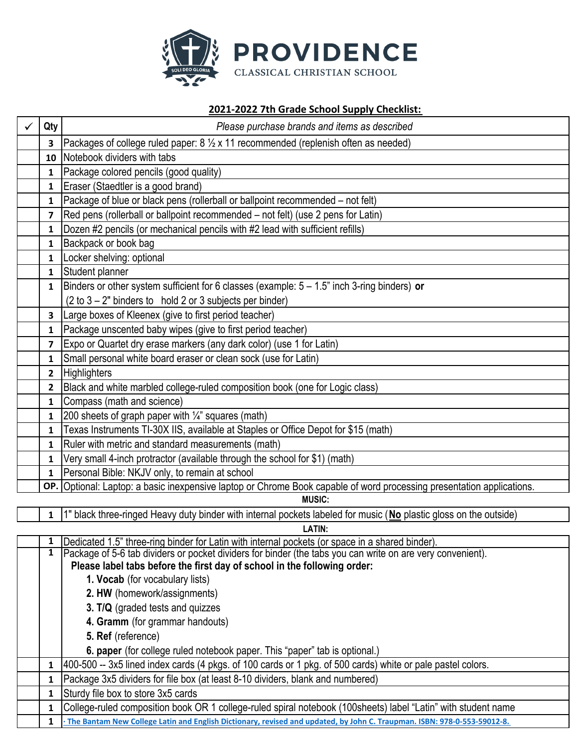

## **‐2022 7th Grade School Supply Checklist:**

| Qty                     | Please purchase brands and items as described                                                                           |
|-------------------------|-------------------------------------------------------------------------------------------------------------------------|
| 3                       | Packages of college ruled paper: $8\frac{1}{2} \times 11$ recommended (replenish often as needed)                       |
|                         | 10 Notebook dividers with tabs                                                                                          |
| $\mathbf{1}$            | Package colored pencils (good quality)                                                                                  |
| $\mathbf{1}$            | Eraser (Staedtler is a good brand)                                                                                      |
| $\mathbf{1}$            | Package of blue or black pens (rollerball or ballpoint recommended – not felt)                                          |
| $\overline{\mathbf{z}}$ | Red pens (rollerball or ballpoint recommended – not felt) (use 2 pens for Latin)                                        |
| 1                       | Dozen #2 pencils (or mechanical pencils with #2 lead with sufficient refills)                                           |
| $\mathbf{1}$            | Backpack or book bag                                                                                                    |
| 1                       | Locker shelving: optional                                                                                               |
| $\mathbf{1}$            | Student planner                                                                                                         |
| $\mathbf{1}$            | Binders or other system sufficient for 6 classes (example: $5 - 1.5$ " inch 3-ring binders) or                          |
|                         | $(2 \text{ to } 3 - 2"$ binders to hold 2 or 3 subjects per binder)                                                     |
| 3 <sup>1</sup>          | Large boxes of Kleenex (give to first period teacher)                                                                   |
| $\mathbf{1}$            | Package unscented baby wipes (give to first period teacher)                                                             |
| 7                       | Expo or Quartet dry erase markers (any dark color) (use 1 for Latin)                                                    |
| 1                       | Small personal white board eraser or clean sock (use for Latin)                                                         |
| $\overline{2}$          | <b>Highlighters</b>                                                                                                     |
| $\overline{2}$          | Black and white marbled college-ruled composition book (one for Logic class)                                            |
| $\mathbf{1}$            | Compass (math and science)                                                                                              |
| $\mathbf{1}$            | 200 sheets of graph paper with $\frac{1}{4}$ squares (math)                                                             |
| $\mathbf{1}$            | Texas Instruments TI-30X IIS, available at Staples or Office Depot for \$15 (math)                                      |
| 1                       | Ruler with metric and standard measurements (math)                                                                      |
| $\mathbf{1}$            | Very small 4-inch protractor (available through the school for \$1) (math)                                              |
| 1                       | Personal Bible: NKJV only, to remain at school                                                                          |
|                         | OP. Optional: Laptop: a basic inexpensive laptop or Chrome Book capable of word processing presentation applications.   |
|                         | <b>MUSIC:</b>                                                                                                           |
|                         | 1" black three-ringed Heavy duty binder with internal pockets labeled for music (No plastic gloss on the outside)       |
| 1                       | <b>LATIN:</b><br>Dedicated 1.5" three-ring binder for Latin with internal pockets (or space in a shared binder).        |
| 1                       | Package of 5-6 tab dividers or pocket dividers for binder (the tabs you can write on are very convenient).              |
|                         | Please label tabs before the first day of school in the following order:                                                |
|                         | 1. Vocab (for vocabulary lists)                                                                                         |
|                         | 2. HW (homework/assignments)                                                                                            |
|                         | 3. T/Q (graded tests and quizzes                                                                                        |
|                         | 4. Gramm (for grammar handouts)                                                                                         |
|                         | 5. Ref (reference)                                                                                                      |
|                         | 6. paper (for college ruled notebook paper. This "paper" tab is optional.)                                              |
| 1                       | 400-500 -- 3x5 lined index cards (4 pkgs. of 100 cards or 1 pkg. of 500 cards) white or pale pastel colors.             |
| 1                       | Package 3x5 dividers for file box (at least 8-10 dividers, blank and numbered)                                          |
| 1                       | Sturdy file box to store 3x5 cards                                                                                      |
| 1                       | College-ruled composition book OR 1 college-ruled spiral notebook (100sheets) label "Latin" with student name           |
| 1                       | The Bantam New College Latin and English Dictionary, revised and updated, by John C. Traupman. ISBN: 978-0-553-59012-8. |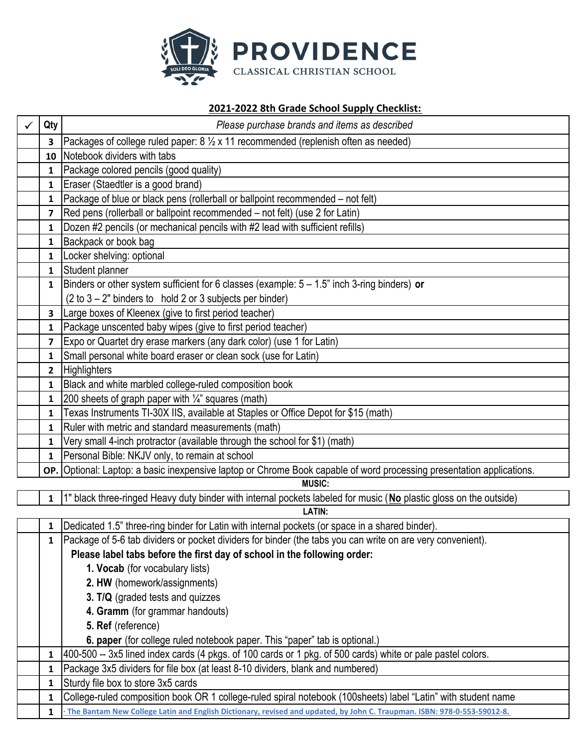

# **‐2022 8th Grade School Supply Checklist:**

| Qty            | Please purchase brands and items as described                                                                                                                                              |
|----------------|--------------------------------------------------------------------------------------------------------------------------------------------------------------------------------------------|
| 3              | Packages of college ruled paper: 8 1/2 x 11 recommended (replenish often as needed)                                                                                                        |
|                | 10 Notebook dividers with tabs                                                                                                                                                             |
| $\mathbf{1}$   | Package colored pencils (good quality)                                                                                                                                                     |
| $\mathbf{1}$   | Eraser (Staedtler is a good brand)                                                                                                                                                         |
| $\mathbf{1}$   | Package of blue or black pens (rollerball or ballpoint recommended – not felt)                                                                                                             |
| 7              | Red pens (rollerball or ballpoint recommended – not felt) (use 2 for Latin)                                                                                                                |
| 1              | Dozen #2 pencils (or mechanical pencils with #2 lead with sufficient refills)                                                                                                              |
| $\mathbf{1}$   | Backpack or book bag                                                                                                                                                                       |
| $\mathbf{1}$   | Locker shelving: optional                                                                                                                                                                  |
| $\mathbf{1}$   | Student planner                                                                                                                                                                            |
| $\mathbf{1}$   | Binders or other system sufficient for 6 classes (example: $5 - 1.5$ " inch 3-ring binders) or                                                                                             |
|                | $(2 \text{ to } 3 - 2)$ " binders to hold 2 or 3 subjects per binder)                                                                                                                      |
| $\mathbf{3}$   | Large boxes of Kleenex (give to first period teacher)                                                                                                                                      |
| 1              | Package unscented baby wipes (give to first period teacher)                                                                                                                                |
| 7              | Expo or Quartet dry erase markers (any dark color) (use 1 for Latin)                                                                                                                       |
| 1              | Small personal white board eraser or clean sock (use for Latin)                                                                                                                            |
| $\overline{2}$ | Highlighters                                                                                                                                                                               |
| 1              | Black and white marbled college-ruled composition book                                                                                                                                     |
| $\mathbf{1}$   | 200 sheets of graph paper with 1/4" squares (math)                                                                                                                                         |
| 1              | Texas Instruments TI-30X IIS, available at Staples or Office Depot for \$15 (math)                                                                                                         |
| 1              | Ruler with metric and standard measurements (math)                                                                                                                                         |
| 1              | Very small 4-inch protractor (available through the school for \$1) (math)                                                                                                                 |
| $\mathbf{1}$   | Personal Bible: NKJV only, to remain at school                                                                                                                                             |
|                | OP. Optional: Laptop: a basic inexpensive laptop or Chrome Book capable of word processing presentation applications.                                                                      |
|                | <b>MUSIC:</b>                                                                                                                                                                              |
| $\mathbf{1}$   | 1" black three-ringed Heavy duty binder with internal pockets labeled for music (No plastic gloss on the outside)                                                                          |
|                | <b>LATIN:</b>                                                                                                                                                                              |
| $\mathbf{1}$   | Dedicated 1.5" three-ring binder for Latin with internal pockets (or space in a shared binder).                                                                                            |
| $\mathbf{1}$   | Package of 5-6 tab dividers or pocket dividers for binder (the tabs you can write on are very convenient).                                                                                 |
|                | Please label tabs before the first day of school in the following order:                                                                                                                   |
|                | 1. Vocab (for vocabulary lists)                                                                                                                                                            |
|                | 2. HW (homework/assignments)                                                                                                                                                               |
|                | 3. T/Q (graded tests and quizzes                                                                                                                                                           |
|                | 4. Gramm (for grammar handouts)                                                                                                                                                            |
|                | 5. Ref (reference)                                                                                                                                                                         |
|                | 6. paper (for college ruled notebook paper. This "paper" tab is optional.)<br>[400-500 -- 3x5 lined index cards (4 pkgs. of 100 cards or 1 pkg. of 500 cards) white or pale pastel colors. |
| 1<br>1         | Package 3x5 dividers for file box (at least 8-10 dividers, blank and numbered)                                                                                                             |
| 1              | Sturdy file box to store 3x5 cards                                                                                                                                                         |
| 1              | College-ruled composition book OR 1 college-ruled spiral notebook (100sheets) label "Latin" with student name                                                                              |
| 1              | The Bantam New College Latin and English Dictionary, revised and updated, by John C. Traupman. ISBN: 978-0-553-59012-8.                                                                    |
|                |                                                                                                                                                                                            |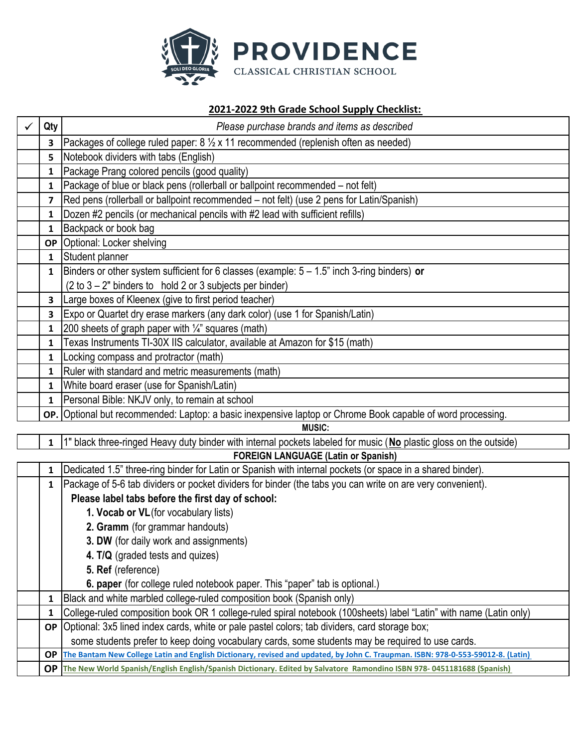

## **2021‐2022 9th Grade School Supply Checklist:**

| Qty       | Please purchase brands and items as described                                                                                   |
|-----------|---------------------------------------------------------------------------------------------------------------------------------|
| З         | Packages of college ruled paper: $8\frac{1}{2} \times 11$ recommended (replenish often as needed)                               |
| 5         | Notebook dividers with tabs (English)                                                                                           |
| 1         | Package Prang colored pencils (good quality)                                                                                    |
| 1         | Package of blue or black pens (rollerball or ballpoint recommended – not felt)                                                  |
| 7         | Red pens (rollerball or ballpoint recommended – not felt) (use 2 pens for Latin/Spanish)                                        |
| 1         | Dozen #2 pencils (or mechanical pencils with #2 lead with sufficient refills)                                                   |
| 1         | Backpack or book bag                                                                                                            |
|           | <b>OP</b> Optional: Locker shelving                                                                                             |
| 1         | Student planner                                                                                                                 |
| 1         | Binders or other system sufficient for 6 classes (example: $5 - 1.5$ " inch 3-ring binders) or                                  |
|           | $(2 \text{ to } 3 - 2"$ binders to hold 2 or 3 subjects per binder)                                                             |
| 3         | Large boxes of Kleenex (give to first period teacher)                                                                           |
| 3         | Expo or Quartet dry erase markers (any dark color) (use 1 for Spanish/Latin)                                                    |
| 1         | 200 sheets of graph paper with $\frac{1}{4}$ " squares (math)                                                                   |
| 1         | Texas Instruments TI-30X IIS calculator, available at Amazon for \$15 (math)                                                    |
| 1         | Locking compass and protractor (math)                                                                                           |
| 1         | Ruler with standard and metric measurements (math)                                                                              |
| 1         | White board eraser (use for Spanish/Latin)                                                                                      |
| 1         | Personal Bible: NKJV only, to remain at school                                                                                  |
|           | OP. Optional but recommended: Laptop: a basic inexpensive laptop or Chrome Book capable of word processing.                     |
|           | <b>MUSIC:</b>                                                                                                                   |
| 1         | 1" black three-ringed Heavy duty binder with internal pockets labeled for music (No plastic gloss on the outside)               |
|           | <b>FOREIGN LANGUAGE (Latin or Spanish)</b>                                                                                      |
| 1         | Dedicated 1.5" three-ring binder for Latin or Spanish with internal pockets (or space in a shared binder).                      |
| 1         | Package of 5-6 tab dividers or pocket dividers for binder (the tabs you can write on are very convenient).                      |
|           | Please label tabs before the first day of school:                                                                               |
|           | 1. Vocab or VL (for vocabulary lists)                                                                                           |
|           | 2. Gramm (for grammar handouts)                                                                                                 |
|           | 3. DW (for daily work and assignments)                                                                                          |
|           | 4. T/Q (graded tests and quizes)                                                                                                |
|           | 5. Ref (reference)                                                                                                              |
|           | 6. paper (for college ruled notebook paper. This "paper" tab is optional.)                                                      |
| 1         | Black and white marbled college-ruled composition book (Spanish only)                                                           |
| 1         | College-ruled composition book OR 1 college-ruled spiral notebook (100sheets) label "Latin" with name (Latin only)              |
| <b>OP</b> | Optional: 3x5 lined index cards, white or pale pastel colors; tab dividers, card storage box;                                   |
|           | some students prefer to keep doing vocabulary cards, some students may be required to use cards.                                |
| <b>OP</b> | The Bantam New College Latin and English Dictionary, revised and updated, by John C. Traupman. ISBN: 978-0-553-59012-8. (Latin) |
| <b>OP</b> | The New World Spanish/English English/Spanish Dictionary. Edited by Salvatore Ramondino ISBN 978-0451181688 (Spanish)           |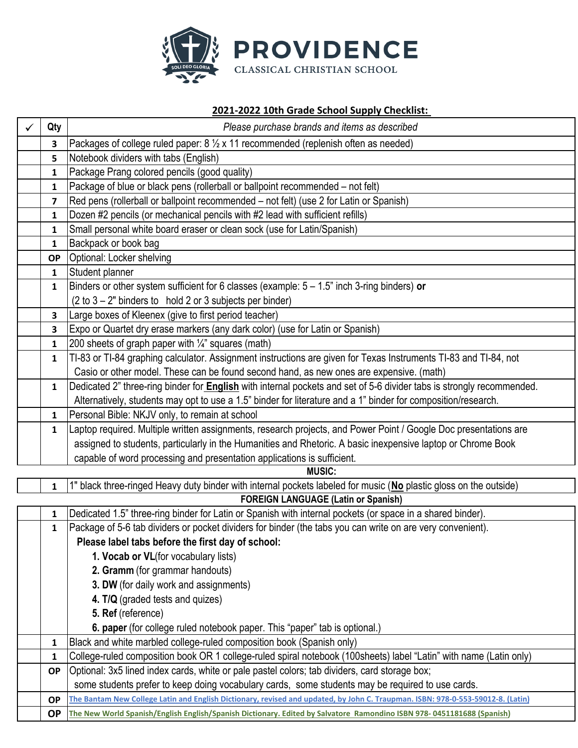

# **2021‐2022 10th Grade School Supply Checklist:**

| Qty          | Please purchase brands and items as described                                                                                   |
|--------------|---------------------------------------------------------------------------------------------------------------------------------|
| 3            | Packages of college ruled paper: $8\frac{1}{2} \times 11$ recommended (replenish often as needed)                               |
| 5            | Notebook dividers with tabs (English)                                                                                           |
| 1            | Package Prang colored pencils (good quality)                                                                                    |
| 1            | Package of blue or black pens (rollerball or ballpoint recommended - not felt)                                                  |
| 7            | Red pens (rollerball or ballpoint recommended - not felt) (use 2 for Latin or Spanish)                                          |
| 1            | Dozen #2 pencils (or mechanical pencils with #2 lead with sufficient refills)                                                   |
| 1            | Small personal white board eraser or clean sock (use for Latin/Spanish)                                                         |
| 1            | Backpack or book bag                                                                                                            |
| <b>OP</b>    | Optional: Locker shelving                                                                                                       |
| $\mathbf{1}$ | Student planner                                                                                                                 |
| 1            | Binders or other system sufficient for 6 classes (example: $5 - 1.5$ " inch 3-ring binders) or                                  |
|              | $(2 \text{ to } 3 - 2$ " binders to hold 2 or 3 subjects per binder)                                                            |
| 3            | Large boxes of Kleenex (give to first period teacher)                                                                           |
| 3            | Expo or Quartet dry erase markers (any dark color) (use for Latin or Spanish)                                                   |
| 1            | 200 sheets of graph paper with 1/4" squares (math)                                                                              |
| $\mathbf{1}$ | TI-83 or TI-84 graphing calculator. Assignment instructions are given for Texas Instruments TI-83 and TI-84, not                |
|              | Casio or other model. These can be found second hand, as new ones are expensive. (math)                                         |
| $\mathbf{1}$ | Dedicated 2" three-ring binder for <b>English</b> with internal pockets and set of 5-6 divider tabs is strongly recommended.    |
|              | Alternatively, students may opt to use a 1.5" binder for literature and a 1" binder for composition/research.                   |
| $\mathbf{1}$ | Personal Bible: NKJV only, to remain at school                                                                                  |
| 1            | Laptop required. Multiple written assignments, research projects, and Power Point / Google Doc presentations are                |
|              | assigned to students, particularly in the Humanities and Rhetoric. A basic inexpensive laptop or Chrome Book                    |
|              | capable of word processing and presentation applications is sufficient.                                                         |
|              | <b>MUSIC:</b>                                                                                                                   |
| 1            | 1" black three-ringed Heavy duty binder with internal pockets labeled for music (No plastic gloss on the outside)               |
|              | <b>FOREIGN LANGUAGE (Latin or Spanish)</b>                                                                                      |
| 1            | Dedicated 1.5" three-ring binder for Latin or Spanish with internal pockets (or space in a shared binder).                      |
| 1            | Package of 5-6 tab dividers or pocket dividers for binder (the tabs you can write on are very convenient).                      |
|              | Please label tabs before the first day of school:                                                                               |
|              | 1. Vocab or VL(for vocabulary lists)                                                                                            |
|              | 2. Gramm (for grammar handouts)                                                                                                 |
|              | 3. DW (for daily work and assignments)                                                                                          |
|              | 4. T/Q (graded tests and quizes)                                                                                                |
|              | 5. Ref (reference)                                                                                                              |
|              | 6. paper (for college ruled notebook paper. This "paper" tab is optional.)                                                      |
| 1            | Black and white marbled college-ruled composition book (Spanish only)                                                           |
| 1            | College-ruled composition book OR 1 college-ruled spiral notebook (100sheets) label "Latin" with name (Latin only)              |
| <b>OP</b>    | Optional: 3x5 lined index cards, white or pale pastel colors; tab dividers, card storage box;                                   |
|              | some students prefer to keep doing vocabulary cards, some students may be required to use cards.                                |
| <b>OP</b>    | The Bantam New College Latin and English Dictionary, revised and updated, by John C. Traupman. ISBN: 978-0-553-59012-8. (Latin) |
| <b>OP</b>    | The New World Spanish/English English/Spanish Dictionary. Edited by Salvatore Ramondino ISBN 978-0451181688 (Spanish)           |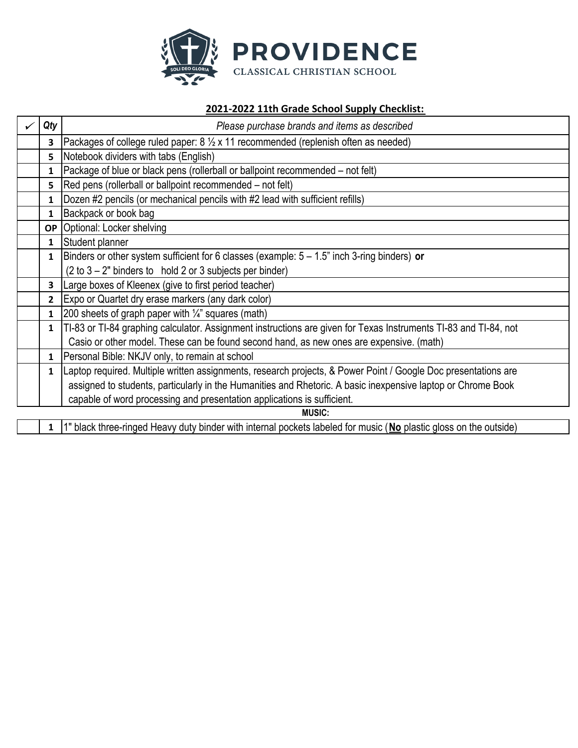

#### **‐2022 11th Grade School Supply Checklist:**

|               | Qty          | Please purchase brands and items as described                                                                     |
|---------------|--------------|-------------------------------------------------------------------------------------------------------------------|
|               | 3            | Packages of college ruled paper: $8\frac{1}{2} \times 11$ recommended (replenish often as needed)                 |
|               | 5            | Notebook dividers with tabs (English)                                                                             |
|               | 1            | [Package of blue or black pens (rollerball or ballpoint recommended - not felt)                                   |
|               | 5            | Red pens (rollerball or ballpoint recommended – not felt)                                                         |
|               | 1            | Dozen #2 pencils (or mechanical pencils with #2 lead with sufficient refills)                                     |
|               | 1            | Backpack or book bag                                                                                              |
|               |              | <b>OP</b> Optional: Locker shelving                                                                               |
|               | $\mathbf{1}$ | Student planner                                                                                                   |
|               | 1            | Binders or other system sufficient for 6 classes (example: $5 - 1.5$ " inch 3-ring binders) or                    |
|               |              | $(2 \text{ to } 3 - 2)$ " binders to hold 2 or 3 subjects per binder)                                             |
|               | 3            | Large boxes of Kleenex (give to first period teacher)                                                             |
|               | $\mathbf{2}$ | Expo or Quartet dry erase markers (any dark color)                                                                |
|               | 1            | 200 sheets of graph paper with $\frac{1}{4}$ squares (math)                                                       |
|               | 1            | TI-83 or TI-84 graphing calculator. Assignment instructions are given for Texas Instruments TI-83 and TI-84, not  |
|               |              | Casio or other model. These can be found second hand, as new ones are expensive. (math)                           |
|               | 1            | Personal Bible: NKJV only, to remain at school                                                                    |
|               | 1            | Laptop required. Multiple written assignments, research projects, & Power Point / Google Doc presentations are    |
|               |              | assigned to students, particularly in the Humanities and Rhetoric. A basic inexpensive laptop or Chrome Book      |
|               |              | capable of word processing and presentation applications is sufficient.                                           |
| <b>MUSIC:</b> |              |                                                                                                                   |
|               | 1            | 1" black three-ringed Heavy duty binder with internal pockets labeled for music (No plastic gloss on the outside) |